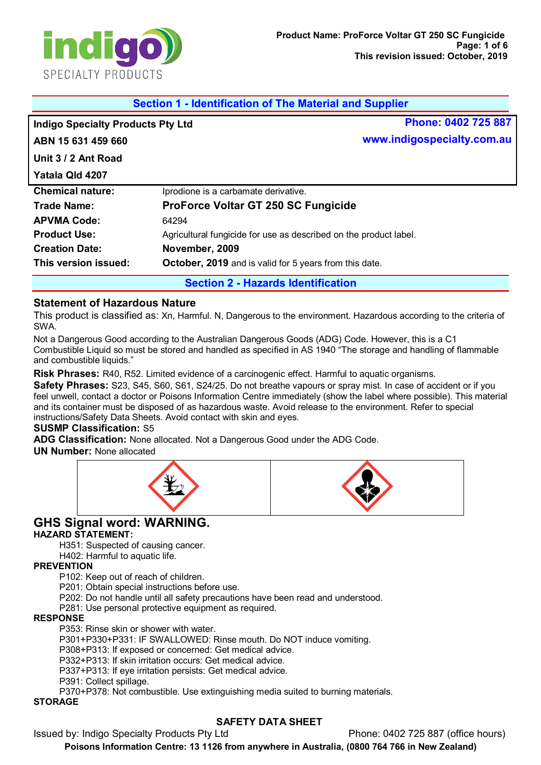

| <b>Section 1 - Identification of The Material and Supplier</b> |                                                                   |                            |
|----------------------------------------------------------------|-------------------------------------------------------------------|----------------------------|
| <b>Indigo Specialty Products Pty Ltd</b>                       |                                                                   | Phone: 0402 725 887        |
| ABN 15 631 459 660                                             |                                                                   | www.indigospecialty.com.au |
| Unit 3 / 2 Ant Road                                            |                                                                   |                            |
| Yatala Qld 4207                                                |                                                                   |                            |
| <b>Chemical nature:</b>                                        | Iprodione is a carbamate derivative.                              |                            |
| Trade Name:                                                    | <b>ProForce Voltar GT 250 SC Fungicide</b>                        |                            |
| <b>APVMA Code:</b>                                             | 64294                                                             |                            |
| <b>Product Use:</b>                                            | Agricultural fungicide for use as described on the product label. |                            |
| <b>Creation Date:</b>                                          | November, 2009                                                    |                            |
| This version issued:                                           | <b>October, 2019</b> and is valid for 5 years from this date.     |                            |
| <b>Section 2 - Hazards Identification</b>                      |                                                                   |                            |

## **Statement of Hazardous Nature**

This product is classified as: Xn, Harmful. N, Dangerous to the environment. Hazardous according to the criteria of SWA.

Not a Dangerous Good according to the Australian Dangerous Goods (ADG) Code. However, this is a C1 Combustible Liquid so must be stored and handled as specified in AS 1940 "The storage and handling of flammable and combustible liquids."

**Risk Phrases:** R40, R52. Limited evidence of a carcinogenic effect. Harmful to aquatic organisms.

**Safety Phrases:** S23, S45, S60, S61, S24/25. Do not breathe vapours or spray mist. In case of accident or if you feel unwell, contact a doctor or Poisons Information Centre immediately (show the label where possible). This material and its container must be disposed of as hazardous waste. Avoid release to the environment. Refer to special instructions/Safety Data Sheets. Avoid contact with skin and eyes.

#### **SUSMP Classification:** S5

**ADG Classification:** None allocated. Not a Dangerous Good under the ADG Code.

**UN Number:** None allocated



# **GHS Signal word: WARNING.**

#### **HAZARD STATEMENT:**

H351: Suspected of causing cancer.

H402: Harmful to aquatic life.

#### **PREVENTION**

P102: Keep out of reach of children.

P201: Obtain special instructions before use.

P202: Do not handle until all safety precautions have been read and understood.

P281: Use personal protective equipment as required.

#### **RESPONSE**

P353: Rinse skin or shower with water.

P301+P330+P331: IF SWALLOWED: Rinse mouth. Do NOT induce vomiting.

P308+P313: If exposed or concerned: Get medical advice.

P332+P313: If skin irritation occurs: Get medical advice.

P337+P313: If eye irritation persists: Get medical advice.

P391: Collect spillage.

P370+P378: Not combustible. Use extinguishing media suited to burning materials.

## **STORAGE**

# **SAFETY DATA SHEET**

Issued by: Indigo Specialty Products Pty Ltd Phone: 0402 725 887 (office hours)

**Poisons Information Centre: 13 1126 from anywhere in Australia, (0800 764 766 in New Zealand)**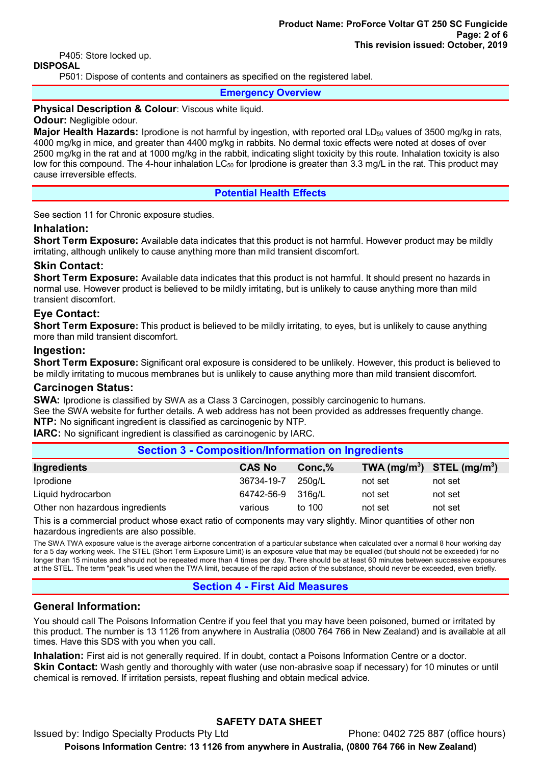P405: Store locked up.

### **DISPOSAL**

P501: Dispose of contents and containers as specified on the registered label.

#### **Emergency Overview**

#### **Physical Description & Colour: Viscous white liquid.**

#### **Odour:** Negligible odour.

**Major Health Hazards:** Iprodione is not harmful by ingestion, with reported oral LD<sub>50</sub> values of 3500 mg/kg in rats, 4000 mg/kg in mice, and greater than 4400 mg/kg in rabbits. No dermal toxic effects were noted at doses of over 2500 mg/kg in the rat and at 1000 mg/kg in the rabbit, indicating slight toxicity by this route. Inhalation toxicity is also low for this compound. The 4-hour inhalation LC<sub>50</sub> for Iprodione is greater than 3.3 mg/L in the rat. This product may cause irreversible effects.

#### **Potential Health Effects**

See section 11 for Chronic exposure studies.

#### **Inhalation:**

**Short Term Exposure:** Available data indicates that this product is not harmful. However product may be mildly irritating, although unlikely to cause anything more than mild transient discomfort.

#### **Skin Contact:**

**Short Term Exposure:** Available data indicates that this product is not harmful. It should present no hazards in normal use. However product is believed to be mildly irritating, but is unlikely to cause anything more than mild transient discomfort.

#### **Eye Contact:**

**Short Term Exposure:** This product is believed to be mildly irritating, to eyes, but is unlikely to cause anything more than mild transient discomfort.

#### **Ingestion:**

**Short Term Exposure:** Significant oral exposure is considered to be unlikely. However, this product is believed to be mildly irritating to mucous membranes but is unlikely to cause anything more than mild transient discomfort.

#### **Carcinogen Status:**

**SWA:** Iprodione is classified by SWA as a Class 3 Carcinogen, possibly carcinogenic to humans. See the SWA website for further details. A web address has not been provided as addresses frequently change. **NTP:** No significant ingredient is classified as carcinogenic by NTP.

**IARC:** No significant ingredient is classified as carcinogenic by IARC.

## **Section 3 - Composition/Information on Ingredients Ingredients CAS No Conc,% TWA (mg/m3 ) STEL (mg/m3 )** Iprodione 36734-19-7 250g/L not set not set Liquid hydrocarbon 64742-56-9 316g/L not set not set Other non hazardous ingredients various to 100 not set not set not set

This is a commercial product whose exact ratio of components may vary slightly. Minor quantities of other non hazardous ingredients are also possible.

The SWA TWA exposure value is the average airborne concentration of a particular substance when calculated over a normal 8 hour working day for a 5 day working week. The STEL (Short Term Exposure Limit) is an exposure value that may be equalled (but should not be exceeded) for no longer than 15 minutes and should not be repeated more than 4 times per day. There should be at least 60 minutes between successive exposures at the STEL. The term "peak "is used when the TWA limit, because of the rapid action of the substance, should never be exceeded, even briefly.

#### **Section 4 - First Aid Measures**

#### **General Information:**

You should call The Poisons Information Centre if you feel that you may have been poisoned, burned or irritated by this product. The number is 13 1126 from anywhere in Australia (0800 764 766 in New Zealand) and is available at all times. Have this SDS with you when you call.

**Inhalation:** First aid is not generally required. If in doubt, contact a Poisons Information Centre or a doctor. **Skin Contact:** Wash gently and thoroughly with water (use non-abrasive soap if necessary) for 10 minutes or until chemical is removed. If irritation persists, repeat flushing and obtain medical advice.

# **SAFETY DATA SHEET**

Issued by: Indigo Specialty Products Pty Ltd Phone: 0402 725 887 (office hours) **Poisons Information Centre: 13 1126 from anywhere in Australia, (0800 764 766 in New Zealand)**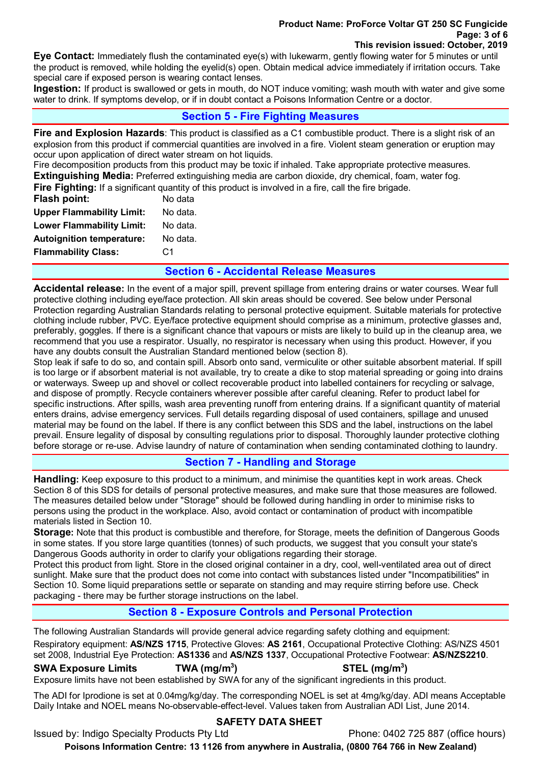#### **Product Name: ProForce Voltar GT 250 SC Fungicide Page: 3 of 6 This revision issued: October, 2019**

**Eye Contact:** Immediately flush the contaminated eye(s) with lukewarm, gently flowing water for 5 minutes or until the product is removed, while holding the eyelid(s) open. Obtain medical advice immediately if irritation occurs. Take special care if exposed person is wearing contact lenses.

**Ingestion:** If product is swallowed or gets in mouth, do NOT induce vomiting; wash mouth with water and give some water to drink. If symptoms develop, or if in doubt contact a Poisons Information Centre or a doctor.

## **Section 5 - Fire Fighting Measures**

**Fire and Explosion Hazards**: This product is classified as a C1 combustible product. There is a slight risk of an explosion from this product if commercial quantities are involved in a fire. Violent steam generation or eruption may occur upon application of direct water stream on hot liquids.

Fire decomposition products from this product may be toxic if inhaled. Take appropriate protective measures. **Extinguishing Media:** Preferred extinguishing media are carbon dioxide, dry chemical, foam, water fog.

| <b>Flammability Class:</b>       | C1                                                                                                            |
|----------------------------------|---------------------------------------------------------------------------------------------------------------|
| <b>Autoignition temperature:</b> | No data.                                                                                                      |
| <b>Lower Flammability Limit:</b> | No data.                                                                                                      |
| <b>Upper Flammability Limit:</b> | No data.                                                                                                      |
| Flash point:                     | No data                                                                                                       |
|                                  | <b>Fire Fighting:</b> If a significant quantity of this product is involved in a fire, call the fire brigade. |

## **Section 6 - Accidental Release Measures**

**Accidental release:** In the event of a major spill, prevent spillage from entering drains or water courses. Wear full protective clothing including eye/face protection. All skin areas should be covered. See below under Personal Protection regarding Australian Standards relating to personal protective equipment. Suitable materials for protective clothing include rubber, PVC. Eye/face protective equipment should comprise as a minimum, protective glasses and, preferably, goggles. If there is a significant chance that vapours or mists are likely to build up in the cleanup area, we recommend that you use a respirator. Usually, no respirator is necessary when using this product. However, if you have any doubts consult the Australian Standard mentioned below (section 8).

Stop leak if safe to do so, and contain spill. Absorb onto sand, vermiculite or other suitable absorbent material. If spill is too large or if absorbent material is not available, try to create a dike to stop material spreading or going into drains or waterways. Sweep up and shovel or collect recoverable product into labelled containers for recycling or salvage, and dispose of promptly. Recycle containers wherever possible after careful cleaning. Refer to product label for specific instructions. After spills, wash area preventing runoff from entering drains. If a significant quantity of material enters drains, advise emergency services. Full details regarding disposal of used containers, spillage and unused material may be found on the label. If there is any conflict between this SDS and the label, instructions on the label prevail. Ensure legality of disposal by consulting regulations prior to disposal. Thoroughly launder protective clothing before storage or re-use. Advise laundry of nature of contamination when sending contaminated clothing to laundry.

## **Section 7 - Handling and Storage**

**Handling:** Keep exposure to this product to a minimum, and minimise the quantities kept in work areas. Check Section 8 of this SDS for details of personal protective measures, and make sure that those measures are followed. The measures detailed below under "Storage" should be followed during handling in order to minimise risks to persons using the product in the workplace. Also, avoid contact or contamination of product with incompatible materials listed in Section 10.

**Storage:** Note that this product is combustible and therefore, for Storage, meets the definition of Dangerous Goods in some states. If you store large quantities (tonnes) of such products, we suggest that you consult your state's Dangerous Goods authority in order to clarify your obligations regarding their storage.

Protect this product from light. Store in the closed original container in a dry, cool, well-ventilated area out of direct sunlight. Make sure that the product does not come into contact with substances listed under "Incompatibilities" in Section 10. Some liquid preparations settle or separate on standing and may require stirring before use. Check packaging - there may be further storage instructions on the label.

## **Section 8 - Exposure Controls and Personal Protection**

The following Australian Standards will provide general advice regarding safety clothing and equipment: Respiratory equipment: **AS/NZS 1715**, Protective Gloves: **AS 2161**, Occupational Protective Clothing: AS/NZS 4501 set 2008, Industrial Eye Protection: **AS1336** and **AS/NZS 1337**, Occupational Protective Footwear: **AS/NZS2210**.

#### **SWA Exposure Limits TWA (mg/m3**

**) STEL (mg/m3 )** Exposure limits have not been established by SWA for any of the significant ingredients in this product.

The ADI for Iprodione is set at 0.04mg/kg/day. The corresponding NOEL is set at 4mg/kg/day. ADI means Acceptable Daily Intake and NOEL means No-observable-effect-level. Values taken from Australian ADI List, June 2014.

## **SAFETY DATA SHEET**

Issued by: Indigo Specialty Products Pty Ltd Phone: 0402 725 887 (office hours)

**Poisons Information Centre: 13 1126 from anywhere in Australia, (0800 764 766 in New Zealand)**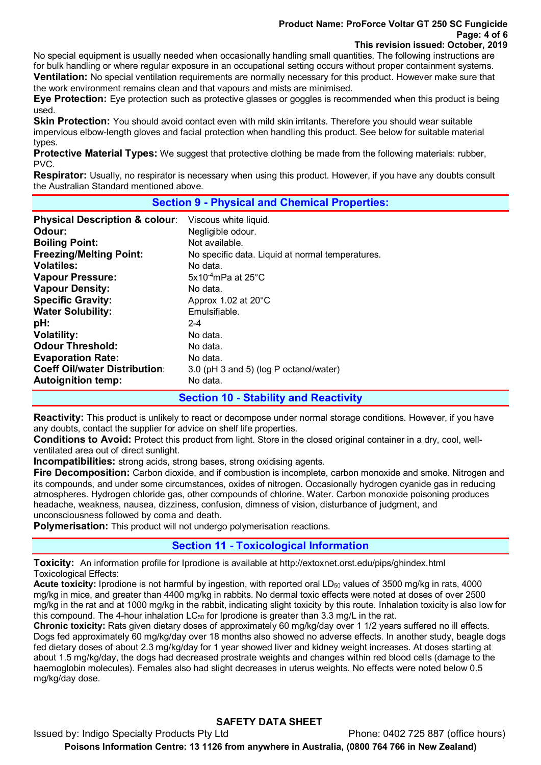#### **Product Name: ProForce Voltar GT 250 SC Fungicide Page: 4 of 6 This revision issued: October, 2019**

No special equipment is usually needed when occasionally handling small quantities. The following instructions are for bulk handling or where regular exposure in an occupational setting occurs without proper containment systems. **Ventilation:** No special ventilation requirements are normally necessary for this product. However make sure that the work environment remains clean and that vapours and mists are minimised.

**Eye Protection:** Eye protection such as protective glasses or goggles is recommended when this product is being used.

**Skin Protection:** You should avoid contact even with mild skin irritants. Therefore you should wear suitable impervious elbow-length gloves and facial protection when handling this product. See below for suitable material types.

**Protective Material Types:** We suggest that protective clothing be made from the following materials: rubber, PVC.

**Respirator:** Usually, no respirator is necessary when using this product. However, if you have any doubts consult the Australian Standard mentioned above.

### **Section 9 - Physical and Chemical Properties:**

| <b>Physical Description &amp; colour:</b> | Viscous white liquid.                            |
|-------------------------------------------|--------------------------------------------------|
| Odour:                                    | Negligible odour.                                |
| <b>Boiling Point:</b>                     | Not available.                                   |
| <b>Freezing/Melting Point:</b>            | No specific data. Liquid at normal temperatures. |
| <b>Volatiles:</b>                         | No data.                                         |
| <b>Vapour Pressure:</b>                   | $5x10^{-4}$ mPa at 25 $^{\circ}$ C               |
| <b>Vapour Density:</b>                    | No data.                                         |
| <b>Specific Gravity:</b>                  | Approx 1.02 at 20°C                              |
| <b>Water Solubility:</b>                  | Emulsifiable.                                    |
| pH:                                       | $2 - 4$                                          |
| <b>Volatility:</b>                        | No data.                                         |
| <b>Odour Threshold:</b>                   | No data.                                         |
| <b>Evaporation Rate:</b>                  | No data.                                         |
| <b>Coeff Oil/water Distribution:</b>      | 3.0 (pH 3 and 5) (log P octanol/water)           |
| <b>Autoignition temp:</b>                 | No data.                                         |
|                                           | <b>Section 10 - Stability and Reactivity</b>     |

**Reactivity:** This product is unlikely to react or decompose under normal storage conditions. However, if you have any doubts, contact the supplier for advice on shelf life properties.

**Conditions to Avoid:** Protect this product from light. Store in the closed original container in a dry, cool, wellventilated area out of direct sunlight.

**Incompatibilities:** strong acids, strong bases, strong oxidising agents.

**Fire Decomposition:** Carbon dioxide, and if combustion is incomplete, carbon monoxide and smoke. Nitrogen and its compounds, and under some circumstances, oxides of nitrogen. Occasionally hydrogen cyanide gas in reducing atmospheres. Hydrogen chloride gas, other compounds of chlorine. Water. Carbon monoxide poisoning produces headache, weakness, nausea, dizziness, confusion, dimness of vision, disturbance of judgment, and unconsciousness followed by coma and death.

**Polymerisation:** This product will not undergo polymerisation reactions.

## **Section 11 - Toxicological Information**

**Toxicity:** An information profile for Iprodione is available at http://extoxnet.orst.edu/pips/ghindex.html Toxicological Effects:

**Acute toxicity:** Iprodione is not harmful by ingestion, with reported oral LD<sub>50</sub> values of 3500 mg/kg in rats, 4000 mg/kg in mice, and greater than 4400 mg/kg in rabbits. No dermal toxic effects were noted at doses of over 2500 mg/kg in the rat and at 1000 mg/kg in the rabbit, indicating slight toxicity by this route. Inhalation toxicity is also low for this compound. The 4-hour inhalation LC<sub>50</sub> for Iprodione is greater than 3.3 mg/L in the rat.

**Chronic toxicity:** Rats given dietary doses of approximately 60 mg/kg/day over 1 1/2 years suffered no ill effects. Dogs fed approximately 60 mg/kg/day over 18 months also showed no adverse effects. In another study, beagle dogs fed dietary doses of about 2.3 mg/kg/day for 1 year showed liver and kidney weight increases. At doses starting at about 1.5 mg/kg/day, the dogs had decreased prostrate weights and changes within red blood cells (damage to the haemoglobin molecules). Females also had slight decreases in uterus weights. No effects were noted below 0.5 mg/kg/day dose.

# **SAFETY DATA SHEET**

Issued by: Indigo Specialty Products Pty Ltd Phone: 0402 725 887 (office hours) **Poisons Information Centre: 13 1126 from anywhere in Australia, (0800 764 766 in New Zealand)**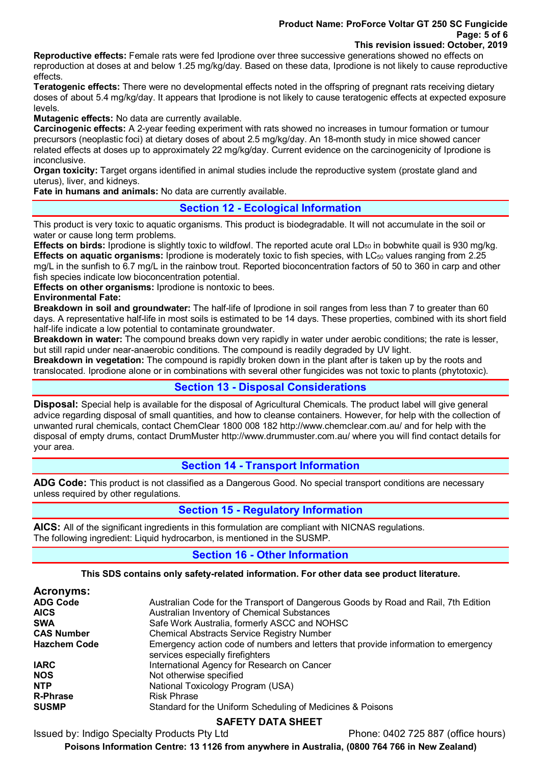#### **Product Name: ProForce Voltar GT 250 SC Fungicide Page: 5 of 6 This revision issued: October, 2019**

**Reproductive effects:** Female rats were fed Iprodione over three successive generations showed no effects on reproduction at doses at and below 1.25 mg/kg/day. Based on these data, Iprodione is not likely to cause reproductive effects.

**Teratogenic effects:** There were no developmental effects noted in the offspring of pregnant rats receiving dietary doses of about 5.4 mg/kg/day. It appears that Iprodione is not likely to cause teratogenic effects at expected exposure levels.

**Mutagenic effects:** No data are currently available.

**Carcinogenic effects:** A 2-year feeding experiment with rats showed no increases in tumour formation or tumour precursors (neoplastic foci) at dietary doses of about 2.5 mg/kg/day. An 18-month study in mice showed cancer related effects at doses up to approximately 22 mg/kg/day. Current evidence on the carcinogenicity of Iprodione is inconclusive.

**Organ toxicity:** Target organs identified in animal studies include the reproductive system (prostate gland and uterus), liver, and kidneys.

**Fate in humans and animals:** No data are currently available.

## **Section 12 - Ecological Information**

This product is very toxic to aquatic organisms. This product is biodegradable. It will not accumulate in the soil or water or cause long term problems.

**Effects on birds:** Iprodione is slightly toxic to wildfowl. The reported acute oral LD<sub>50</sub> in bobwhite quail is 930 mg/kg. **Effects on aquatic organisms:** Iprodione is moderately toxic to fish species, with LC<sub>50</sub> values ranging from 2.25 mg/L in the sunfish to 6.7 mg/L in the rainbow trout. Reported bioconcentration factors of 50 to 360 in carp and other fish species indicate low bioconcentration potential.

**Effects on other organisms:** Iprodione is nontoxic to bees.

**Environmental Fate:** 

**Breakdown in soil and groundwater:** The half-life of Iprodione in soil ranges from less than 7 to greater than 60 days. A representative half-life in most soils is estimated to be 14 days. These properties, combined with its short field half-life indicate a low potential to contaminate groundwater.

**Breakdown in water:** The compound breaks down very rapidly in water under aerobic conditions; the rate is lesser, but still rapid under near-anaerobic conditions. The compound is readily degraded by UV light.

**Breakdown in vegetation:** The compound is rapidly broken down in the plant after is taken up by the roots and translocated. Iprodione alone or in combinations with several other fungicides was not toxic to plants (phytotoxic).

### **Section 13 - Disposal Considerations**

**Disposal:** Special help is available for the disposal of Agricultural Chemicals. The product label will give general advice regarding disposal of small quantities, and how to cleanse containers. However, for help with the collection of unwanted rural chemicals, contact ChemClear 1800 008 182 http://www.chemclear.com.au/ and for help with the disposal of empty drums, contact DrumMuster http://www.drummuster.com.au/ where you will find contact details for your area.

## **Section 14 - Transport Information**

**ADG Code:** This product is not classified as a Dangerous Good. No special transport conditions are necessary unless required by other regulations.

## **Section 15 - Regulatory Information**

**AICS:** All of the significant ingredients in this formulation are compliant with NICNAS regulations. The following ingredient: Liquid hydrocarbon, is mentioned in the SUSMP.

## **Section 16 - Other Information**

#### **This SDS contains only safety-related information. For other data see product literature.**

| Acronyms:           |                                                                                    |
|---------------------|------------------------------------------------------------------------------------|
| <b>ADG Code</b>     | Australian Code for the Transport of Dangerous Goods by Road and Rail, 7th Edition |
| <b>AICS</b>         | Australian Inventory of Chemical Substances                                        |
| <b>SWA</b>          | Safe Work Australia, formerly ASCC and NOHSC                                       |
| <b>CAS Number</b>   | <b>Chemical Abstracts Service Registry Number</b>                                  |
| <b>Hazchem Code</b> | Emergency action code of numbers and letters that provide information to emergency |
|                     | services especially firefighters                                                   |
| <b>IARC</b>         | International Agency for Research on Cancer                                        |
| <b>NOS</b>          | Not otherwise specified                                                            |
| <b>NTP</b>          | National Toxicology Program (USA)                                                  |
| <b>R-Phrase</b>     | <b>Risk Phrase</b>                                                                 |
| <b>SUSMP</b>        | Standard for the Uniform Scheduling of Medicines & Poisons                         |

## **SAFETY DATA SHEET**

Issued by: Indigo Specialty Products Pty Ltd Phone: 0402 725 887 (office hours)

**Poisons Information Centre: 13 1126 from anywhere in Australia, (0800 764 766 in New Zealand)**